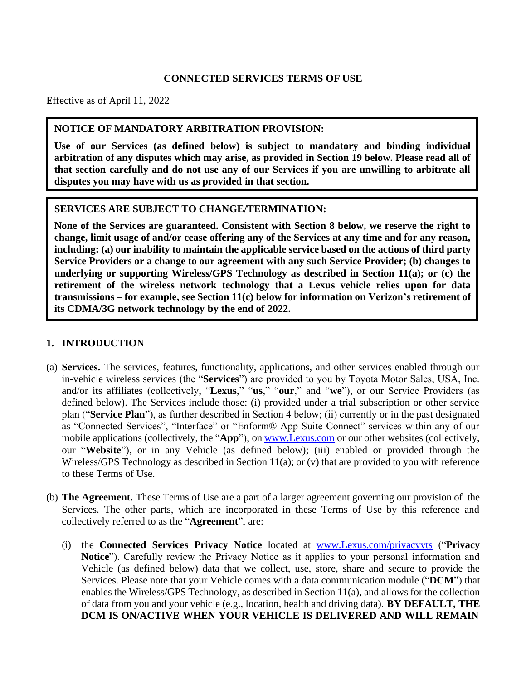### **CONNECTED SERVICES TERMS OF USE**

Effective as of April 11, 2022

#### **NOTICE OF MANDATORY ARBITRATION PROVISION:**

**Use of our Services (as defined below) is subject to mandatory and binding individual arbitration of any disputes which may arise, as provided in Section 19 below. Please read all of that section carefully and do not use any of our Services if you are unwilling to arbitrate all disputes you may have with us as provided in that section.**

#### **SERVICES ARE SUBJECT TO CHANGE/TERMINATION:**

**None of the Services are guaranteed. Consistent with Section 8 below, we reserve the right to change, limit usage of and/or cease offering any of the Services at any time and for any reason, including: (a) our inability to maintain the applicable service based on the actions of third party Service Providers or a change to our agreement with any such Service Provider; (b) changes to underlying or supporting Wireless/GPS Technology as described in Section 11(a); or (c) the retirement of the wireless network technology that a Lexus vehicle relies upon for data transmissions – for example, see Section 11(c) below for information on Verizon's retirement of its CDMA/3G network technology by the end of 2022.**

### **1. INTRODUCTION**

- (a) **Services.** The services, features, functionality, applications, and other services enabled through our in-vehicle wireless services (the "**Services**") are provided to you by Toyota Motor Sales, USA, Inc. and/or its affiliates (collectively, "**Lexus**," "**us**," "**our**," and "**we**"), or our Service Providers (as defined below). The Services include those: (i) provided under a trial subscription or other service plan ("**Service Plan**"), as further described in Section 4 below; (ii) currently or in the past designated as "Connected Services", "Interface" or "Enform® App Suite Connect" services within any of our mobile applications (collectively, the "**App**"), on [www.Lexus.com](http://www.lexus.com/) or our other websites (collectively, our "**Website**"), or in any Vehicle (as defined below); (iii) enabled or provided through the Wireless/GPS Technology as described in Section 11(a); or (v) that are provided to you with reference to these Terms of Use.
- (b) **The Agreement.** These Terms of Use are a part of a larger agreement governing our provision of the Services. The other parts, which are incorporated in these Terms of Use by this reference and collectively referred to as the "**Agreement**", are:
	- (i) the **Connected Services Privacy Notice** located at [www.Lexus.com/privacyvts](http://www.lexus.com/privacyvts) ("**Privacy Notice**"). Carefully review the Privacy Notice as it applies to your personal information and Vehicle (as defined below) data that we collect, use, store, share and secure to provide the Services. Please note that your Vehicle comes with a data communication module ("**DCM**") that enables the Wireless/GPS Technology, as described in Section 11(a), and allows for the collection of data from you and your vehicle (e.g., location, health and driving data). **BY DEFAULT, THE DCM IS ON/ACTIVE WHEN YOUR VEHICLE IS DELIVERED AND WILL REMAIN**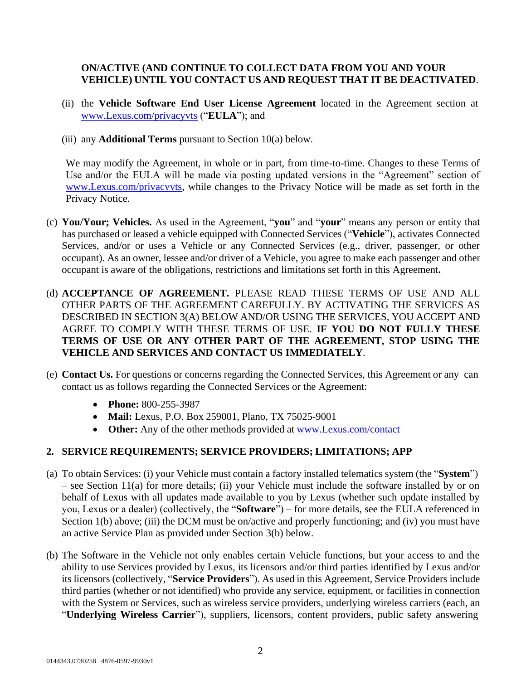# **ON/ACTIVE (AND CONTINUE TO COLLECT DATA FROM YOU AND YOUR VEHICLE) UNTIL YOU CONTACT US AND REQUEST THAT IT BE DEACTIVATED**.

- (ii) the **Vehicle Software End User License Agreement** located in the Agreement section at [www.Lexus.com/privacyvts](http://www.lexus.com/privacyvts) ("**EULA**"); and
- (iii) any **Additional Terms** pursuant to Section 10(a) below.

We may modify the Agreement, in whole or in part, from time-to-time. Changes to these Terms of Use and/or the EULA will be made via posting updated versions in the "Agreement" section of [www.Lexus.com/privacyvts, w](http://www.lexus.com/privacyvts)hile changes to the Privacy Notice will be made as set forth in the Privacy Notice.

- (c) **You/Your; Vehicles.** As used in the Agreement, "**you**" and "**your**" means any person or entity that has purchased or leased a vehicle equipped with Connected Services ("**Vehicle**"), activates Connected Services, and/or or uses a Vehicle or any Connected Services (e.g., driver, passenger, or other occupant). As an owner, lessee and/or driver of a Vehicle, you agree to make each passenger and other occupant is aware of the obligations, restrictions and limitations set forth in this Agreement**.**
- (d) **ACCEPTANCE OF AGREEMENT.** PLEASE READ THESE TERMS OF USE AND ALL OTHER PARTS OF THE AGREEMENT CAREFULLY. BY ACTIVATING THE SERVICES AS DESCRIBED IN SECTION 3(A) BELOW AND/OR USING THE SERVICES, YOU ACCEPT AND AGREE TO COMPLY WITH THESE TERMS OF USE. **IF YOU DO NOT FULLY THESE TERMS OF USE OR ANY OTHER PART OF THE AGREEMENT, STOP USING THE VEHICLE AND SERVICES AND CONTACT US IMMEDIATELY**.
- (e) **Contact Us.** For questions or concerns regarding the Connected Services, this Agreement or any can contact us as follows regarding the Connected Services or the Agreement:
	- **Phone:** 800-255-3987
	- **Mail:** Lexus, P.O. Box 259001, Plano, TX 75025-9001
	- Other: Any of the other methods provided at <u>[www.Lexus.com/contact](http://www.lexus.com/contact)</u>

# **2. SERVICE REQUIREMENTS; SERVICE PROVIDERS; LIMITATIONS; APP**

- (a) To obtain Services: (i) your Vehicle must contain a factory installed telematics system (the "**System**") – see Section 11(a) for more details; (ii) your Vehicle must include the software installed by or on behalf of Lexus with all updates made available to you by Lexus (whether such update installed by you, Lexus or a dealer) (collectively, the "**Software**") – for more details, see the EULA referenced in Section 1(b) above; (iii) the DCM must be on/active and properly functioning; and (iv) you must have an active Service Plan as provided under Section 3(b) below.
- (b) The Software in the Vehicle not only enables certain Vehicle functions, but your access to and the ability to use Services provided by Lexus, its licensors and/or third parties identified by Lexus and/or its licensors (collectively, "**Service Providers**"). As used in this Agreement, Service Providers include third parties (whether or not identified) who provide any service, equipment, or facilities in connection with the System or Services, such as wireless service providers, underlying wireless carriers (each, an "**Underlying Wireless Carrier**"), suppliers, licensors, content providers, public safety answering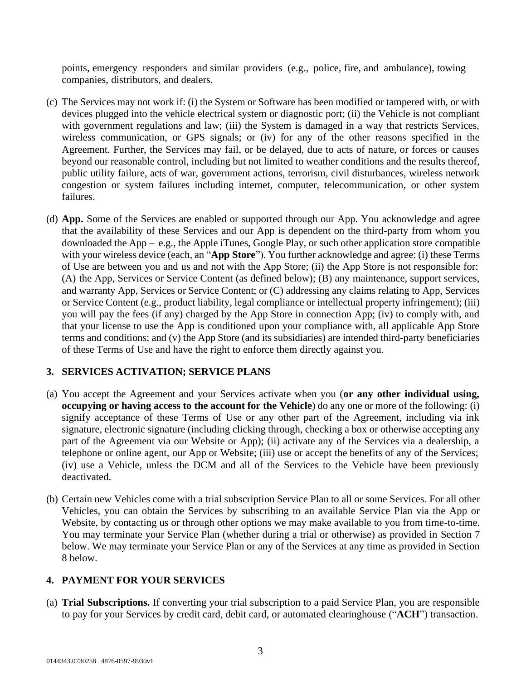points, emergency responders and similar providers (e.g., police, fire, and ambulance), towing companies, distributors, and dealers.

- (c) The Services may not work if: (i) the System or Software has been modified or tampered with, or with devices plugged into the vehicle electrical system or diagnostic port; (ii) the Vehicle is not compliant with government regulations and law; (iii) the System is damaged in a way that restricts Services, wireless communication, or GPS signals; or (iv) for any of the other reasons specified in the Agreement. Further, the Services may fail, or be delayed, due to acts of nature, or forces or causes beyond our reasonable control, including but not limited to weather conditions and the results thereof, public utility failure, acts of war, government actions, terrorism, civil disturbances, wireless network congestion or system failures including internet, computer, telecommunication, or other system failures.
- (d) **App.** Some of the Services are enabled or supported through our App. You acknowledge and agree that the availability of these Services and our App is dependent on the third-party from whom you downloaded the App – e.g., the Apple iTunes, Google Play, or such other application store compatible with your wireless device (each, an "**App Store**"). You further acknowledge and agree: (i) these Terms of Use are between you and us and not with the App Store; (ii) the App Store is not responsible for: (A) the App, Services or Service Content (as defined below); (B) any maintenance, support services, and warranty App, Services or Service Content; or (C) addressing any claims relating to App, Services or Service Content (e.g., product liability, legal compliance or intellectual property infringement); (iii) you will pay the fees (if any) charged by the App Store in connection App; (iv) to comply with, and that your license to use the App is conditioned upon your compliance with, all applicable App Store terms and conditions; and (v) the App Store (and its subsidiaries) are intended third-party beneficiaries of these Terms of Use and have the right to enforce them directly against you.

# **3. SERVICES ACTIVATION; SERVICE PLANS**

- (a) You accept the Agreement and your Services activate when you (**or any other individual using, occupying or having access to the account for the Vehicle**) do any one or more of the following: (i) signify acceptance of these Terms of Use or any other part of the Agreement, including via ink signature, electronic signature (including clicking through, checking a box or otherwise accepting any part of the Agreement via our Website or App); (ii) activate any of the Services via a dealership, a telephone or online agent, our App or Website; (iii) use or accept the benefits of any of the Services; (iv) use a Vehicle, unless the DCM and all of the Services to the Vehicle have been previously deactivated.
- (b) Certain new Vehicles come with a trial subscription Service Plan to all or some Services. For all other Vehicles, you can obtain the Services by subscribing to an available Service Plan via the App or Website, by contacting us or through other options we may make available to you from time-to-time. You may terminate your Service Plan (whether during a trial or otherwise) as provided in Section 7 below. We may terminate your Service Plan or any of the Services at any time as provided in Section 8 below.

# **4. PAYMENT FOR YOUR SERVICES**

(a) **Trial Subscriptions.** If converting your trial subscription to a paid Service Plan, you are responsible to pay for your Services by credit card, debit card, or automated clearinghouse ("**ACH**") transaction.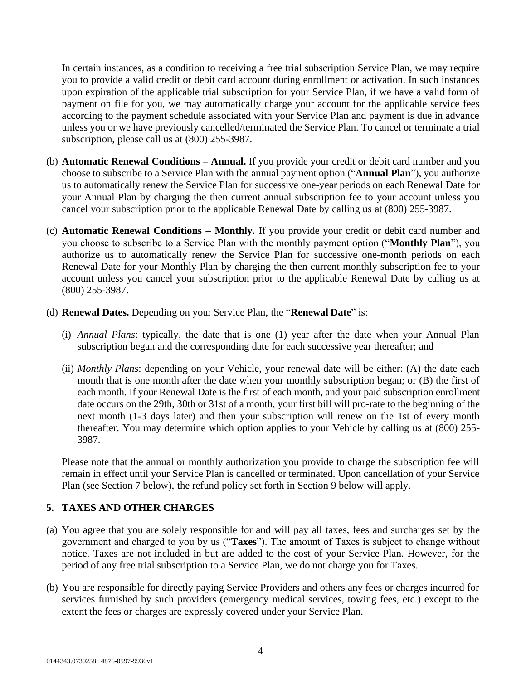In certain instances, as a condition to receiving a free trial subscription Service Plan, we may require you to provide a valid credit or debit card account during enrollment or activation. In such instances upon expiration of the applicable trial subscription for your Service Plan, if we have a valid form of payment on file for you, we may automatically charge your account for the applicable service fees according to the payment schedule associated with your Service Plan and payment is due in advance unless you or we have previously cancelled/terminated the Service Plan. To cancel or terminate a trial subscription, please call us at (800) 255-3987.

- (b) **Automatic Renewal Conditions – Annual.** If you provide your credit or debit card number and you choose to subscribe to a Service Plan with the annual payment option ("**Annual Plan**"), you authorize us to automatically renew the Service Plan for successive one-year periods on each Renewal Date for your Annual Plan by charging the then current annual subscription fee to your account unless you cancel your subscription prior to the applicable Renewal Date by calling us at (800) 255-3987.
- (c) **Automatic Renewal Conditions – Monthly.** If you provide your credit or debit card number and you choose to subscribe to a Service Plan with the monthly payment option ("**Monthly Plan**"), you authorize us to automatically renew the Service Plan for successive one-month periods on each Renewal Date for your Monthly Plan by charging the then current monthly subscription fee to your account unless you cancel your subscription prior to the applicable Renewal Date by calling us at (800) 255-3987.
- (d) **Renewal Dates.** Depending on your Service Plan, the "**Renewal Date**" is:
	- (i) *Annual Plans*: typically, the date that is one (1) year after the date when your Annual Plan subscription began and the corresponding date for each successive year thereafter; and
	- (ii) *Monthly Plans*: depending on your Vehicle, your renewal date will be either: (A) the date each month that is one month after the date when your monthly subscription began; or (B) the first of each month. If your Renewal Date is the first of each month, and your paid subscription enrollment date occurs on the 29th, 30th or 31st of a month, your first bill will pro-rate to the beginning of the next month (1-3 days later) and then your subscription will renew on the 1st of every month thereafter. You may determine which option applies to your Vehicle by calling us at (800) 255- 3987.

Please note that the annual or monthly authorization you provide to charge the subscription fee will remain in effect until your Service Plan is cancelled or terminated. Upon cancellation of your Service Plan (see Section 7 below), the refund policy set forth in Section 9 below will apply.

# **5. TAXES AND OTHER CHARGES**

- (a) You agree that you are solely responsible for and will pay all taxes, fees and surcharges set by the government and charged to you by us ("**Taxes**"). The amount of Taxes is subject to change without notice. Taxes are not included in but are added to the cost of your Service Plan. However, for the period of any free trial subscription to a Service Plan, we do not charge you for Taxes.
- (b) You are responsible for directly paying Service Providers and others any fees or charges incurred for services furnished by such providers (emergency medical services, towing fees, etc.) except to the extent the fees or charges are expressly covered under your Service Plan.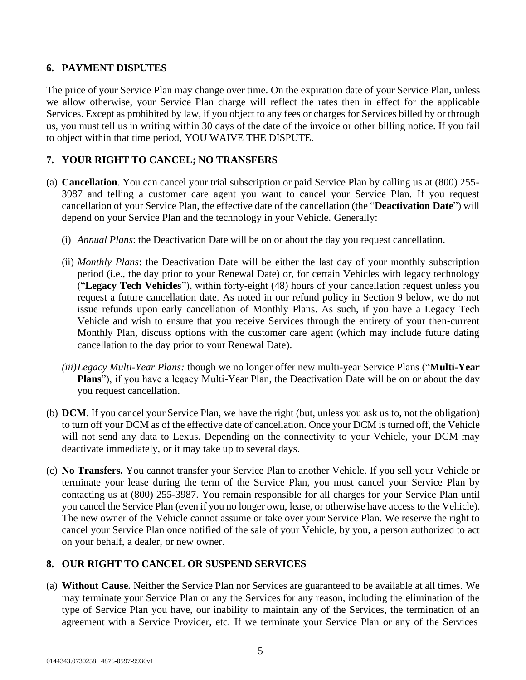## **6. PAYMENT DISPUTES**

The price of your Service Plan may change over time. On the expiration date of your Service Plan, unless we allow otherwise, your Service Plan charge will reflect the rates then in effect for the applicable Services. Except as prohibited by law, if you object to any fees or charges for Services billed by or through us, you must tell us in writing within 30 days of the date of the invoice or other billing notice. If you fail to object within that time period, YOU WAIVE THE DISPUTE.

# **7. YOUR RIGHT TO CANCEL; NO TRANSFERS**

- (a) **Cancellation**. You can cancel your trial subscription or paid Service Plan by calling us at (800) 255- 3987 and telling a customer care agent you want to cancel your Service Plan. If you request cancellation of your Service Plan, the effective date of the cancellation (the "**Deactivation Date**") will depend on your Service Plan and the technology in your Vehicle. Generally:
	- (i) *Annual Plans*: the Deactivation Date will be on or about the day you request cancellation.
	- (ii) *Monthly Plans*: the Deactivation Date will be either the last day of your monthly subscription period (i.e., the day prior to your Renewal Date) or, for certain Vehicles with legacy technology ("**Legacy Tech Vehicles**"), within forty-eight (48) hours of your cancellation request unless you request a future cancellation date. As noted in our refund policy in Section 9 below, we do not issue refunds upon early cancellation of Monthly Plans. As such, if you have a Legacy Tech Vehicle and wish to ensure that you receive Services through the entirety of your then-current Monthly Plan, discuss options with the customer care agent (which may include future dating cancellation to the day prior to your Renewal Date).
	- *(iii)Legacy Multi-Year Plans:* though we no longer offer new multi-year Service Plans ("**Multi-Year Plans**"), if you have a legacy Multi-Year Plan, the Deactivation Date will be on or about the day you request cancellation.
- (b) **DCM**. If you cancel your Service Plan, we have the right (but, unless you ask us to, not the obligation) to turn off your DCM as of the effective date of cancellation. Once your DCM is turned off, the Vehicle will not send any data to Lexus. Depending on the connectivity to your Vehicle, your DCM may deactivate immediately, or it may take up to several days.
- (c) **No Transfers.** You cannot transfer your Service Plan to another Vehicle. If you sell your Vehicle or terminate your lease during the term of the Service Plan, you must cancel your Service Plan by contacting us at (800) 255-3987. You remain responsible for all charges for your Service Plan until you cancel the Service Plan (even if you no longer own, lease, or otherwise have access to the Vehicle). The new owner of the Vehicle cannot assume or take over your Service Plan. We reserve the right to cancel your Service Plan once notified of the sale of your Vehicle, by you, a person authorized to act on your behalf, a dealer, or new owner.

# **8. OUR RIGHT TO CANCEL OR SUSPEND SERVICES**

(a) **Without Cause.** Neither the Service Plan nor Services are guaranteed to be available at all times. We may terminate your Service Plan or any the Services for any reason, including the elimination of the type of Service Plan you have, our inability to maintain any of the Services, the termination of an agreement with a Service Provider, etc. If we terminate your Service Plan or any of the Services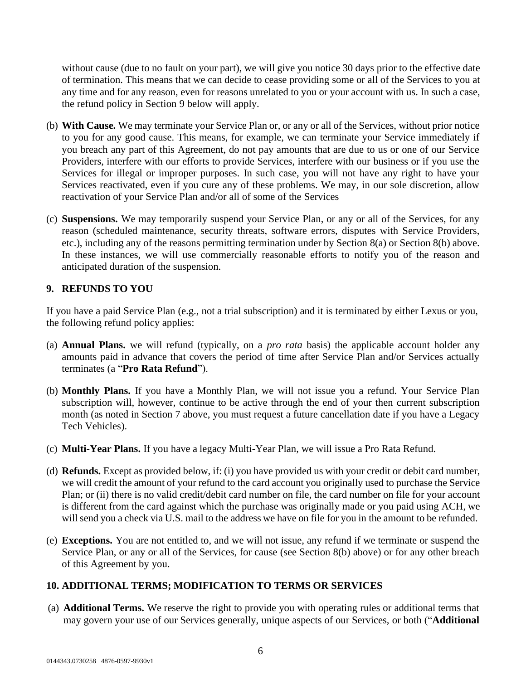without cause (due to no fault on your part), we will give you notice 30 days prior to the effective date of termination. This means that we can decide to cease providing some or all of the Services to you at any time and for any reason, even for reasons unrelated to you or your account with us. In such a case, the refund policy in Section 9 below will apply.

- (b) **With Cause.** We may terminate your Service Plan or, or any or all of the Services, without prior notice to you for any good cause. This means, for example, we can terminate your Service immediately if you breach any part of this Agreement, do not pay amounts that are due to us or one of our Service Providers, interfere with our efforts to provide Services, interfere with our business or if you use the Services for illegal or improper purposes. In such case, you will not have any right to have your Services reactivated, even if you cure any of these problems. We may, in our sole discretion, allow reactivation of your Service Plan and/or all of some of the Services
- (c) **Suspensions.** We may temporarily suspend your Service Plan, or any or all of the Services, for any reason (scheduled maintenance, security threats, software errors, disputes with Service Providers, etc.), including any of the reasons permitting termination under by Section 8(a) or Section 8(b) above. In these instances, we will use commercially reasonable efforts to notify you of the reason and anticipated duration of the suspension.

## **9. REFUNDS TO YOU**

If you have a paid Service Plan (e.g., not a trial subscription) and it is terminated by either Lexus or you, the following refund policy applies:

- (a) **Annual Plans.** we will refund (typically, on a *pro rata* basis) the applicable account holder any amounts paid in advance that covers the period of time after Service Plan and/or Services actually terminates (a "**Pro Rata Refund**").
- (b) **Monthly Plans.** If you have a Monthly Plan, we will not issue you a refund. Your Service Plan subscription will, however, continue to be active through the end of your then current subscription month (as noted in Section 7 above, you must request a future cancellation date if you have a Legacy Tech Vehicles).
- (c) **Multi-Year Plans.** If you have a legacy Multi-Year Plan, we will issue a Pro Rata Refund.
- (d) **Refunds.** Except as provided below, if: (i) you have provided us with your credit or debit card number, we will credit the amount of your refund to the card account you originally used to purchase the Service Plan; or (ii) there is no valid credit/debit card number on file, the card number on file for your account is different from the card against which the purchase was originally made or you paid using ACH, we will send you a check via U.S. mail to the address we have on file for you in the amount to be refunded.
- (e) **Exceptions.** You are not entitled to, and we will not issue, any refund if we terminate or suspend the Service Plan, or any or all of the Services, for cause (see Section 8(b) above) or for any other breach of this Agreement by you.

# **10. ADDITIONAL TERMS; MODIFICATION TO TERMS OR SERVICES**

(a) **Additional Terms.** We reserve the right to provide you with operating rules or additional terms that may govern your use of our Services generally, unique aspects of our Services, or both ("**Additional**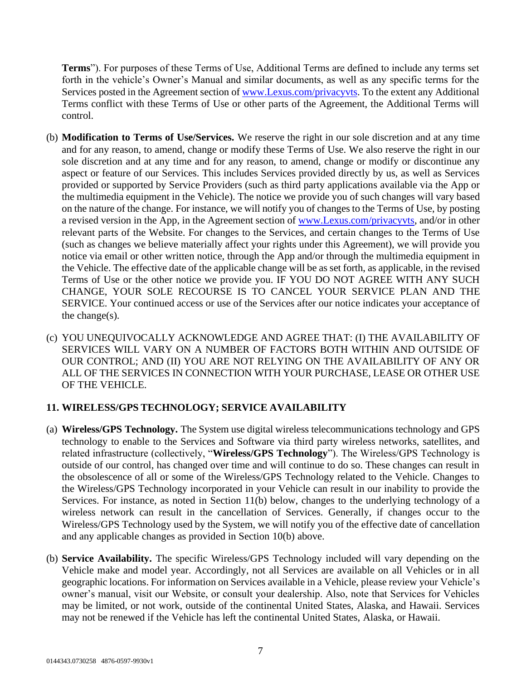**Terms**"). For purposes of these Terms of Use, Additional Terms are defined to include any terms set forth in the vehicle's Owner's Manual and similar documents, as well as any specific terms for the Services posted in the Agreement section of [www.Lexus.com/privacyvts.](http://www.lexus.com/privacyvts) To the extent any Additional Terms conflict with these Terms of Use or other parts of the Agreement, the Additional Terms will control.

- (b) **Modification to Terms of Use/Services.** We reserve the right in our sole discretion and at any time and for any reason, to amend, change or modify these Terms of Use. We also reserve the right in our sole discretion and at any time and for any reason, to amend, change or modify or discontinue any aspect or feature of our Services. This includes Services provided directly by us, as well as Services provided or supported by Service Providers (such as third party applications available via the App or the multimedia equipment in the Vehicle). The notice we provide you of such changes will vary based on the nature of the change. For instance, we will notify you of changes to the Terms of Use, by posting a revised version in the App, in the Agreement section of [www.Lexus.com/privacyvts,](http://www.lexus.com/privacyvts) and/or in other relevant parts of the Website. For changes to the Services, and certain changes to the Terms of Use (such as changes we believe materially affect your rights under this Agreement), we will provide you notice via email or other written notice, through the App and/or through the multimedia equipment in the Vehicle. The effective date of the applicable change will be as set forth, as applicable, in the revised Terms of Use or the other notice we provide you. IF YOU DO NOT AGREE WITH ANY SUCH CHANGE, YOUR SOLE RECOURSE IS TO CANCEL YOUR SERVICE PLAN AND THE SERVICE. Your continued access or use of the Services after our notice indicates your acceptance of the change(s).
- (c) YOU UNEQUIVOCALLY ACKNOWLEDGE AND AGREE THAT: (I) THE AVAILABILITY OF SERVICES WILL VARY ON A NUMBER OF FACTORS BOTH WITHIN AND OUTSIDE OF OUR CONTROL; AND (II) YOU ARE NOT RELYING ON THE AVAILABILITY OF ANY OR ALL OF THE SERVICES IN CONNECTION WITH YOUR PURCHASE, LEASE OR OTHER USE OF THE VEHICLE.

# **11. WIRELESS/GPS TECHNOLOGY; SERVICE AVAILABILITY**

- (a) **Wireless/GPS Technology.** The System use digital wireless telecommunications technology and GPS technology to enable to the Services and Software via third party wireless networks, satellites, and related infrastructure (collectively, "**Wireless/GPS Technology**"). The Wireless/GPS Technology is outside of our control, has changed over time and will continue to do so. These changes can result in the obsolescence of all or some of the Wireless/GPS Technology related to the Vehicle. Changes to the Wireless/GPS Technology incorporated in your Vehicle can result in our inability to provide the Services. For instance, as noted in Section 11(b) below, changes to the underlying technology of a wireless network can result in the cancellation of Services. Generally, if changes occur to the Wireless/GPS Technology used by the System, we will notify you of the effective date of cancellation and any applicable changes as provided in Section 10(b) above.
- (b) **Service Availability.** The specific Wireless/GPS Technology included will vary depending on the Vehicle make and model year. Accordingly, not all Services are available on all Vehicles or in all geographic locations. For information on Services available in a Vehicle, please review your Vehicle's owner's manual, visit our Website, or consult your dealership. Also, note that Services for Vehicles may be limited, or not work, outside of the continental United States, Alaska, and Hawaii. Services may not be renewed if the Vehicle has left the continental United States, Alaska, or Hawaii.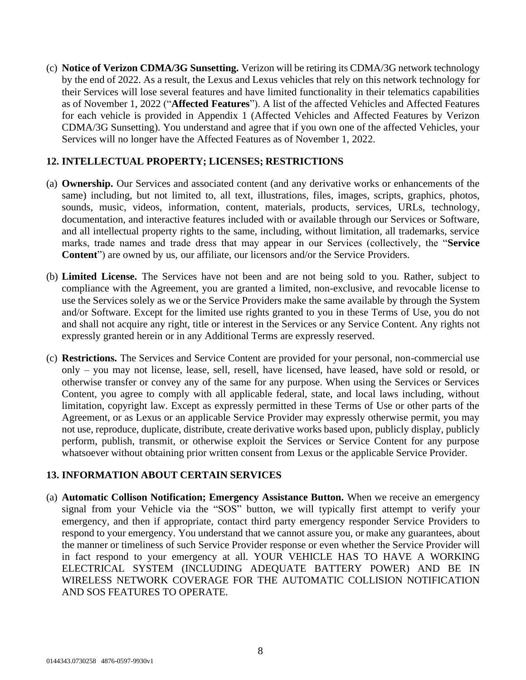(c) **Notice of Verizon CDMA/3G Sunsetting.** Verizon will be retiring its CDMA/3G network technology by the end of 2022. As a result, the Lexus and Lexus vehicles that rely on this network technology for their Services will lose several features and have limited functionality in their telematics capabilities as of November 1, 2022 ("**Affected Features**"). A list of the affected Vehicles and Affected Features for each vehicle is provided in Appendix 1 (Affected Vehicles and Affected Features by Verizon CDMA/3G Sunsetting). You understand and agree that if you own one of the affected Vehicles, your Services will no longer have the Affected Features as of November 1, 2022.

### **12. INTELLECTUAL PROPERTY; LICENSES; RESTRICTIONS**

- (a) **Ownership.** Our Services and associated content (and any derivative works or enhancements of the same) including, but not limited to, all text, illustrations, files, images, scripts, graphics, photos, sounds, music, videos, information, content, materials, products, services, URLs, technology, documentation, and interactive features included with or available through our Services or Software, and all intellectual property rights to the same, including, without limitation, all trademarks, service marks, trade names and trade dress that may appear in our Services (collectively, the "**Service Content**") are owned by us, our affiliate, our licensors and/or the Service Providers.
- (b) **Limited License.** The Services have not been and are not being sold to you. Rather, subject to compliance with the Agreement, you are granted a limited, non-exclusive, and revocable license to use the Services solely as we or the Service Providers make the same available by through the System and/or Software. Except for the limited use rights granted to you in these Terms of Use, you do not and shall not acquire any right, title or interest in the Services or any Service Content. Any rights not expressly granted herein or in any Additional Terms are expressly reserved.
- (c) **Restrictions.** The Services and Service Content are provided for your personal, non-commercial use only – you may not license, lease, sell, resell, have licensed, have leased, have sold or resold, or otherwise transfer or convey any of the same for any purpose. When using the Services or Services Content, you agree to comply with all applicable federal, state, and local laws including, without limitation, copyright law. Except as expressly permitted in these Terms of Use or other parts of the Agreement, or as Lexus or an applicable Service Provider may expressly otherwise permit, you may not use, reproduce, duplicate, distribute, create derivative works based upon, publicly display, publicly perform, publish, transmit, or otherwise exploit the Services or Service Content for any purpose whatsoever without obtaining prior written consent from Lexus or the applicable Service Provider.

# **13. INFORMATION ABOUT CERTAIN SERVICES**

(a) **Automatic Collison Notification; Emergency Assistance Button.** When we receive an emergency signal from your Vehicle via the "SOS" button, we will typically first attempt to verify your emergency, and then if appropriate, contact third party emergency responder Service Providers to respond to your emergency. You understand that we cannot assure you, or make any guarantees, about the manner or timeliness of such Service Provider response or even whether the Service Provider will in fact respond to your emergency at all. YOUR VEHICLE HAS TO HAVE A WORKING ELECTRICAL SYSTEM (INCLUDING ADEQUATE BATTERY POWER) AND BE IN WIRELESS NETWORK COVERAGE FOR THE AUTOMATIC COLLISION NOTIFICATION AND SOS FEATURES TO OPERATE.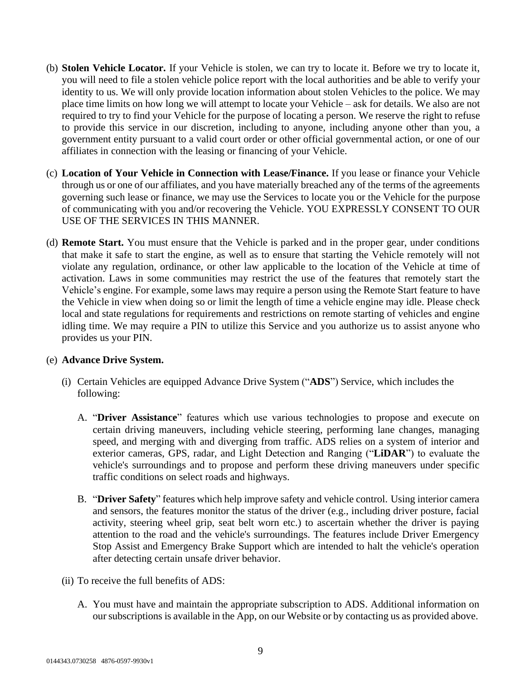- (b) **Stolen Vehicle Locator.** If your Vehicle is stolen, we can try to locate it. Before we try to locate it, you will need to file a stolen vehicle police report with the local authorities and be able to verify your identity to us. We will only provide location information about stolen Vehicles to the police. We may place time limits on how long we will attempt to locate your Vehicle – ask for details. We also are not required to try to find your Vehicle for the purpose of locating a person. We reserve the right to refuse to provide this service in our discretion, including to anyone, including anyone other than you, a government entity pursuant to a valid court order or other official governmental action, or one of our affiliates in connection with the leasing or financing of your Vehicle.
- (c) **Location of Your Vehicle in Connection with Lease/Finance.** If you lease or finance your Vehicle through us or one of our affiliates, and you have materially breached any of the terms of the agreements governing such lease or finance, we may use the Services to locate you or the Vehicle for the purpose of communicating with you and/or recovering the Vehicle. YOU EXPRESSLY CONSENT TO OUR USE OF THE SERVICES IN THIS MANNER.
- (d) **Remote Start.** You must ensure that the Vehicle is parked and in the proper gear, under conditions that make it safe to start the engine, as well as to ensure that starting the Vehicle remotely will not violate any regulation, ordinance, or other law applicable to the location of the Vehicle at time of activation. Laws in some communities may restrict the use of the features that remotely start the Vehicle's engine. For example, some laws may require a person using the Remote Start feature to have the Vehicle in view when doing so or limit the length of time a vehicle engine may idle. Please check local and state regulations for requirements and restrictions on remote starting of vehicles and engine idling time. We may require a PIN to utilize this Service and you authorize us to assist anyone who provides us your PIN.

### (e) **Advance Drive System.**

- (i) Certain Vehicles are equipped Advance Drive System ("**ADS**") Service, which includes the following:
	- A. "**Driver Assistance**" features which use various technologies to propose and execute on certain driving maneuvers, including vehicle steering, performing lane changes, managing speed, and merging with and diverging from traffic. ADS relies on a system of interior and exterior cameras, GPS, radar, and Light Detection and Ranging ("**LiDAR**") to evaluate the vehicle's surroundings and to propose and perform these driving maneuvers under specific traffic conditions on select roads and highways.
	- B. "**Driver Safety**" features which help improve safety and vehicle control. Using interior camera and sensors, the features monitor the status of the driver (e.g., including driver posture, facial activity, steering wheel grip, seat belt worn etc.) to ascertain whether the driver is paying attention to the road and the vehicle's surroundings. The features include Driver Emergency Stop Assist and Emergency Brake Support which are intended to halt the vehicle's operation after detecting certain unsafe driver behavior.
- (ii) To receive the full benefits of ADS:
	- A. You must have and maintain the appropriate subscription to ADS. Additional information on oursubscriptions is available in the App, on our Website or by contacting us as provided above.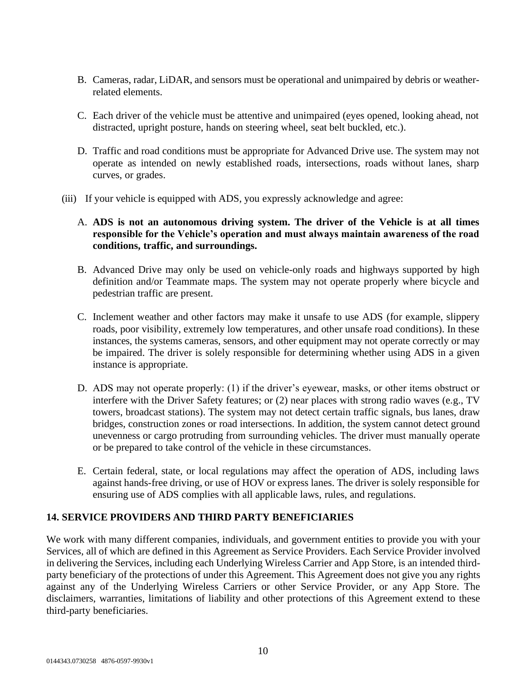- B. Cameras, radar, LiDAR, and sensors must be operational and unimpaired by debris or weatherrelated elements.
- C. Each driver of the vehicle must be attentive and unimpaired (eyes opened, looking ahead, not distracted, upright posture, hands on steering wheel, seat belt buckled, etc.).
- D. Traffic and road conditions must be appropriate for Advanced Drive use. The system may not operate as intended on newly established roads, intersections, roads without lanes, sharp curves, or grades.
- (iii) If your vehicle is equipped with ADS, you expressly acknowledge and agree:
	- A. **ADS is not an autonomous driving system. The driver of the Vehicle is at all times responsible for the Vehicle's operation and must always maintain awareness of the road conditions, traffic, and surroundings.**
	- B. Advanced Drive may only be used on vehicle-only roads and highways supported by high definition and/or Teammate maps. The system may not operate properly where bicycle and pedestrian traffic are present.
	- C. Inclement weather and other factors may make it unsafe to use ADS (for example, slippery roads, poor visibility, extremely low temperatures, and other unsafe road conditions). In these instances, the systems cameras, sensors, and other equipment may not operate correctly or may be impaired. The driver is solely responsible for determining whether using ADS in a given instance is appropriate.
	- D. ADS may not operate properly: (1) if the driver's eyewear, masks, or other items obstruct or interfere with the Driver Safety features; or (2) near places with strong radio waves (e.g., TV towers, broadcast stations). The system may not detect certain traffic signals, bus lanes, draw bridges, construction zones or road intersections. In addition, the system cannot detect ground unevenness or cargo protruding from surrounding vehicles. The driver must manually operate or be prepared to take control of the vehicle in these circumstances.
	- E. Certain federal, state, or local regulations may affect the operation of ADS, including laws against hands-free driving, or use of HOV or express lanes. The driver is solely responsible for ensuring use of ADS complies with all applicable laws, rules, and regulations.

# **14. SERVICE PROVIDERS AND THIRD PARTY BENEFICIARIES**

We work with many different companies, individuals, and government entities to provide you with your Services, all of which are defined in this Agreement as Service Providers. Each Service Provider involved in delivering the Services, including each Underlying Wireless Carrier and App Store, is an intended thirdparty beneficiary of the protections of under this Agreement. This Agreement does not give you any rights against any of the Underlying Wireless Carriers or other Service Provider, or any App Store. The disclaimers, warranties, limitations of liability and other protections of this Agreement extend to these third-party beneficiaries.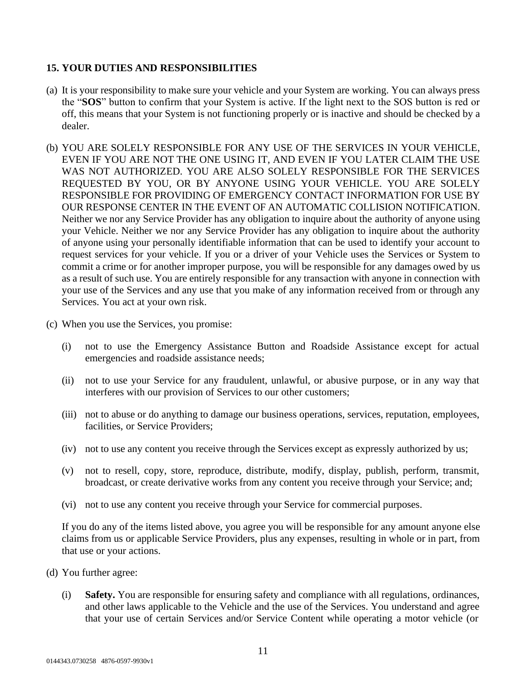# **15. YOUR DUTIES AND RESPONSIBILITIES**

- (a) It is your responsibility to make sure your vehicle and your System are working. You can always press the "**SOS**" button to confirm that your System is active. If the light next to the SOS button is red or off, this means that your System is not functioning properly or is inactive and should be checked by a dealer.
- (b) YOU ARE SOLELY RESPONSIBLE FOR ANY USE OF THE SERVICES IN YOUR VEHICLE, EVEN IF YOU ARE NOT THE ONE USING IT, AND EVEN IF YOU LATER CLAIM THE USE WAS NOT AUTHORIZED. YOU ARE ALSO SOLELY RESPONSIBLE FOR THE SERVICES REQUESTED BY YOU, OR BY ANYONE USING YOUR VEHICLE. YOU ARE SOLELY RESPONSIBLE FOR PROVIDING OF EMERGENCY CONTACT INFORMATION FOR USE BY OUR RESPONSE CENTER IN THE EVENT OF AN AUTOMATIC COLLISION NOTIFICATION. Neither we nor any Service Provider has any obligation to inquire about the authority of anyone using your Vehicle. Neither we nor any Service Provider has any obligation to inquire about the authority of anyone using your personally identifiable information that can be used to identify your account to request services for your vehicle. If you or a driver of your Vehicle uses the Services or System to commit a crime or for another improper purpose, you will be responsible for any damages owed by us as a result of such use. You are entirely responsible for any transaction with anyone in connection with your use of the Services and any use that you make of any information received from or through any Services. You act at your own risk.
- (c) When you use the Services, you promise:
	- (i) not to use the Emergency Assistance Button and Roadside Assistance except for actual emergencies and roadside assistance needs;
	- (ii) not to use your Service for any fraudulent, unlawful, or abusive purpose, or in any way that interferes with our provision of Services to our other customers;
	- (iii) not to abuse or do anything to damage our business operations, services, reputation, employees, facilities, or Service Providers;
	- (iv) not to use any content you receive through the Services except as expressly authorized by us;
	- (v) not to resell, copy, store, reproduce, distribute, modify, display, publish, perform, transmit, broadcast, or create derivative works from any content you receive through your Service; and;
	- (vi) not to use any content you receive through your Service for commercial purposes.

If you do any of the items listed above, you agree you will be responsible for any amount anyone else claims from us or applicable Service Providers, plus any expenses, resulting in whole or in part, from that use or your actions.

- (d) You further agree:
	- (i) **Safety.** You are responsible for ensuring safety and compliance with all regulations, ordinances, and other laws applicable to the Vehicle and the use of the Services. You understand and agree that your use of certain Services and/or Service Content while operating a motor vehicle (or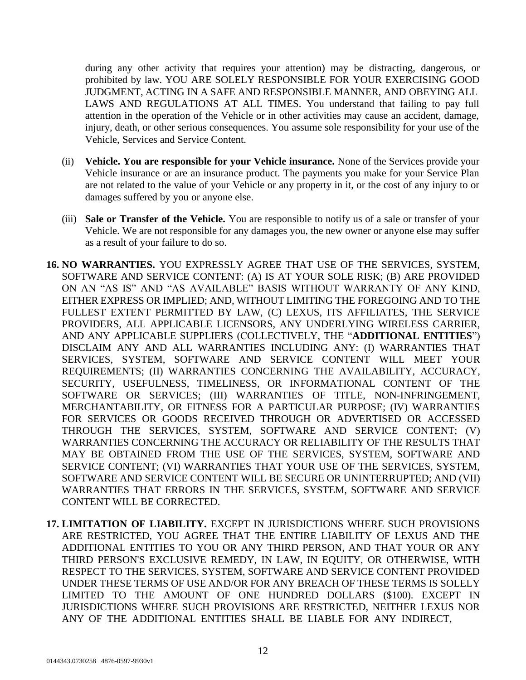during any other activity that requires your attention) may be distracting, dangerous, or prohibited by law. YOU ARE SOLELY RESPONSIBLE FOR YOUR EXERCISING GOOD JUDGMENT, ACTING IN A SAFE AND RESPONSIBLE MANNER, AND OBEYING ALL LAWS AND REGULATIONS AT ALL TIMES. You understand that failing to pay full attention in the operation of the Vehicle or in other activities may cause an accident, damage, injury, death, or other serious consequences. You assume sole responsibility for your use of the Vehicle, Services and Service Content.

- (ii) **Vehicle. You are responsible for your Vehicle insurance.** None of the Services provide your Vehicle insurance or are an insurance product. The payments you make for your Service Plan are not related to the value of your Vehicle or any property in it, or the cost of any injury to or damages suffered by you or anyone else.
- (iii) **Sale or Transfer of the Vehicle.** You are responsible to notify us of a sale or transfer of your Vehicle. We are not responsible for any damages you, the new owner or anyone else may suffer as a result of your failure to do so.
- **16. NO WARRANTIES.** YOU EXPRESSLY AGREE THAT USE OF THE SERVICES, SYSTEM, SOFTWARE AND SERVICE CONTENT: (A) IS AT YOUR SOLE RISK; (B) ARE PROVIDED ON AN "AS IS" AND "AS AVAILABLE" BASIS WITHOUT WARRANTY OF ANY KIND, EITHER EXPRESS OR IMPLIED; AND, WITHOUT LIMITING THE FOREGOING AND TO THE FULLEST EXTENT PERMITTED BY LAW, (C) LEXUS, ITS AFFILIATES, THE SERVICE PROVIDERS, ALL APPLICABLE LICENSORS, ANY UNDERLYING WIRELESS CARRIER, AND ANY APPLICABLE SUPPLIERS (COLLECTIVELY, THE "**ADDITIONAL ENTITIES**") DISCLAIM ANY AND ALL WARRANTIES INCLUDING ANY: (I) WARRANTIES THAT SERVICES, SYSTEM, SOFTWARE AND SERVICE CONTENT WILL MEET YOUR REQUIREMENTS; (II) WARRANTIES CONCERNING THE AVAILABILITY, ACCURACY, SECURITY, USEFULNESS, TIMELINESS, OR INFORMATIONAL CONTENT OF THE SOFTWARE OR SERVICES; (III) WARRANTIES OF TITLE, NON-INFRINGEMENT, MERCHANTABILITY, OR FITNESS FOR A PARTICULAR PURPOSE; (IV) WARRANTIES FOR SERVICES OR GOODS RECEIVED THROUGH OR ADVERTISED OR ACCESSED THROUGH THE SERVICES, SYSTEM, SOFTWARE AND SERVICE CONTENT; (V) WARRANTIES CONCERNING THE ACCURACY OR RELIABILITY OF THE RESULTS THAT MAY BE OBTAINED FROM THE USE OF THE SERVICES, SYSTEM, SOFTWARE AND SERVICE CONTENT; (VI) WARRANTIES THAT YOUR USE OF THE SERVICES, SYSTEM, SOFTWARE AND SERVICE CONTENT WILL BE SECURE OR UNINTERRUPTED; AND (VII) WARRANTIES THAT ERRORS IN THE SERVICES, SYSTEM, SOFTWARE AND SERVICE CONTENT WILL BE CORRECTED.
- **17. LIMITATION OF LIABILITY.** EXCEPT IN JURISDICTIONS WHERE SUCH PROVISIONS ARE RESTRICTED, YOU AGREE THAT THE ENTIRE LIABILITY OF LEXUS AND THE ADDITIONAL ENTITIES TO YOU OR ANY THIRD PERSON, AND THAT YOUR OR ANY THIRD PERSON'S EXCLUSIVE REMEDY, IN LAW, IN EQUITY, OR OTHERWISE, WITH RESPECT TO THE SERVICES, SYSTEM, SOFTWARE AND SERVICE CONTENT PROVIDED UNDER THESE TERMS OF USE AND/OR FOR ANY BREACH OF THESE TERMS IS SOLELY LIMITED TO THE AMOUNT OF ONE HUNDRED DOLLARS (\$100). EXCEPT IN JURISDICTIONS WHERE SUCH PROVISIONS ARE RESTRICTED, NEITHER LEXUS NOR ANY OF THE ADDITIONAL ENTITIES SHALL BE LIABLE FOR ANY INDIRECT,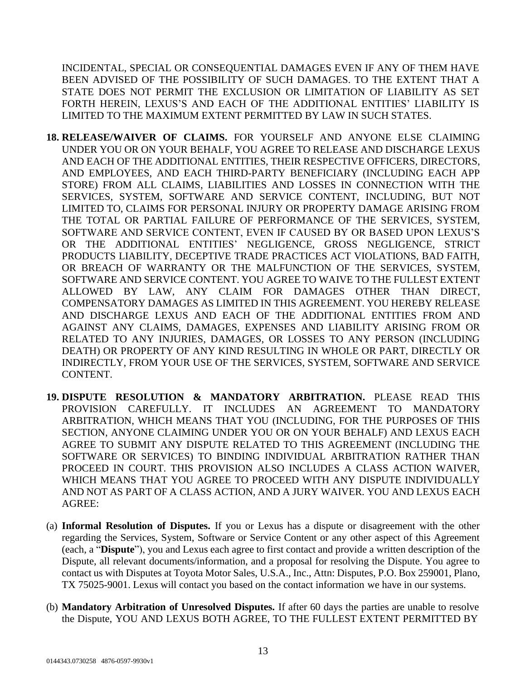INCIDENTAL, SPECIAL OR CONSEQUENTIAL DAMAGES EVEN IF ANY OF THEM HAVE BEEN ADVISED OF THE POSSIBILITY OF SUCH DAMAGES. TO THE EXTENT THAT A STATE DOES NOT PERMIT THE EXCLUSION OR LIMITATION OF LIABILITY AS SET FORTH HEREIN, LEXUS'S AND EACH OF THE ADDITIONAL ENTITIES' LIABILITY IS LIMITED TO THE MAXIMUM EXTENT PERMITTED BY LAW IN SUCH STATES.

- **18. RELEASE/WAIVER OF CLAIMS.** FOR YOURSELF AND ANYONE ELSE CLAIMING UNDER YOU OR ON YOUR BEHALF, YOU AGREE TO RELEASE AND DISCHARGE LEXUS AND EACH OF THE ADDITIONAL ENTITIES, THEIR RESPECTIVE OFFICERS, DIRECTORS, AND EMPLOYEES, AND EACH THIRD-PARTY BENEFICIARY (INCLUDING EACH APP STORE) FROM ALL CLAIMS, LIABILITIES AND LOSSES IN CONNECTION WITH THE SERVICES, SYSTEM, SOFTWARE AND SERVICE CONTENT, INCLUDING, BUT NOT LIMITED TO, CLAIMS FOR PERSONAL INJURY OR PROPERTY DAMAGE ARISING FROM THE TOTAL OR PARTIAL FAILURE OF PERFORMANCE OF THE SERVICES, SYSTEM, SOFTWARE AND SERVICE CONTENT, EVEN IF CAUSED BY OR BASED UPON LEXUS'S OR THE ADDITIONAL ENTITIES' NEGLIGENCE, GROSS NEGLIGENCE, STRICT PRODUCTS LIABILITY, DECEPTIVE TRADE PRACTICES ACT VIOLATIONS, BAD FAITH, OR BREACH OF WARRANTY OR THE MALFUNCTION OF THE SERVICES, SYSTEM, SOFTWARE AND SERVICE CONTENT. YOU AGREE TO WAIVE TO THE FULLEST EXTENT ALLOWED BY LAW, ANY CLAIM FOR DAMAGES OTHER THAN DIRECT, COMPENSATORY DAMAGES AS LIMITED IN THIS AGREEMENT. YOU HEREBY RELEASE AND DISCHARGE LEXUS AND EACH OF THE ADDITIONAL ENTITIES FROM AND AGAINST ANY CLAIMS, DAMAGES, EXPENSES AND LIABILITY ARISING FROM OR RELATED TO ANY INJURIES, DAMAGES, OR LOSSES TO ANY PERSON (INCLUDING DEATH) OR PROPERTY OF ANY KIND RESULTING IN WHOLE OR PART, DIRECTLY OR INDIRECTLY, FROM YOUR USE OF THE SERVICES, SYSTEM, SOFTWARE AND SERVICE CONTENT.
- **19. DISPUTE RESOLUTION & MANDATORY ARBITRATION.** PLEASE READ THIS PROVISION CAREFULLY. IT INCLUDES AN AGREEMENT TO MANDATORY ARBITRATION, WHICH MEANS THAT YOU (INCLUDING, FOR THE PURPOSES OF THIS SECTION, ANYONE CLAIMING UNDER YOU OR ON YOUR BEHALF) AND LEXUS EACH AGREE TO SUBMIT ANY DISPUTE RELATED TO THIS AGREEMENT (INCLUDING THE SOFTWARE OR SERVICES) TO BINDING INDIVIDUAL ARBITRATION RATHER THAN PROCEED IN COURT. THIS PROVISION ALSO INCLUDES A CLASS ACTION WAIVER, WHICH MEANS THAT YOU AGREE TO PROCEED WITH ANY DISPUTE INDIVIDUALLY AND NOT AS PART OF A CLASS ACTION, AND A JURY WAIVER. YOU AND LEXUS EACH AGREE:
- (a) **Informal Resolution of Disputes.** If you or Lexus has a dispute or disagreement with the other regarding the Services, System, Software or Service Content or any other aspect of this Agreement (each, a "**Dispute**"), you and Lexus each agree to first contact and provide a written description of the Dispute, all relevant documents/information, and a proposal for resolving the Dispute. You agree to contact us with Disputes at Toyota Motor Sales, U.S.A., Inc., Attn: Disputes, P.O. Box 259001, Plano, TX 75025-9001. Lexus will contact you based on the contact information we have in our systems.
- (b) **Mandatory Arbitration of Unresolved Disputes.** If after 60 days the parties are unable to resolve the Dispute, YOU AND LEXUS BOTH AGREE, TO THE FULLEST EXTENT PERMITTED BY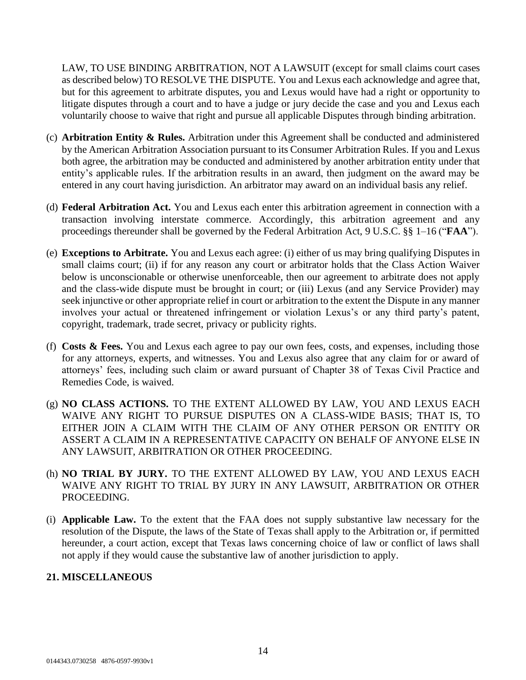LAW, TO USE BINDING ARBITRATION, NOT A LAWSUIT (except for small claims court cases as described below) TO RESOLVE THE DISPUTE. You and Lexus each acknowledge and agree that, but for this agreement to arbitrate disputes, you and Lexus would have had a right or opportunity to litigate disputes through a court and to have a judge or jury decide the case and you and Lexus each voluntarily choose to waive that right and pursue all applicable Disputes through binding arbitration.

- (c) **Arbitration Entity & Rules.** Arbitration under this Agreement shall be conducted and administered by the American Arbitration Association pursuant to its Consumer Arbitration Rules. If you and Lexus both agree, the arbitration may be conducted and administered by another arbitration entity under that entity's applicable rules. If the arbitration results in an award, then judgment on the award may be entered in any court having jurisdiction. An arbitrator may award on an individual basis any relief.
- (d) **Federal Arbitration Act.** You and Lexus each enter this arbitration agreement in connection with a transaction involving interstate commerce. Accordingly, this arbitration agreement and any proceedings thereunder shall be governed by the Federal Arbitration Act, 9 U.S.C. §§ 1–16 ("**FAA**").
- (e) **Exceptions to Arbitrate.** You and Lexus each agree: (i) either of us may bring qualifying Disputes in small claims court; (ii) if for any reason any court or arbitrator holds that the Class Action Waiver below is unconscionable or otherwise unenforceable, then our agreement to arbitrate does not apply and the class-wide dispute must be brought in court; or (iii) Lexus (and any Service Provider) may seek injunctive or other appropriate relief in court or arbitration to the extent the Dispute in any manner involves your actual or threatened infringement or violation Lexus's or any third party's patent, copyright, trademark, trade secret, privacy or publicity rights.
- (f) **Costs & Fees.** You and Lexus each agree to pay our own fees, costs, and expenses, including those for any attorneys, experts, and witnesses. You and Lexus also agree that any claim for or award of attorneys' fees, including such claim or award pursuant of Chapter 38 of Texas Civil Practice and Remedies Code, is waived.
- (g) **NO CLASS ACTIONS.** TO THE EXTENT ALLOWED BY LAW, YOU AND LEXUS EACH WAIVE ANY RIGHT TO PURSUE DISPUTES ON A CLASS-WIDE BASIS; THAT IS, TO EITHER JOIN A CLAIM WITH THE CLAIM OF ANY OTHER PERSON OR ENTITY OR ASSERT A CLAIM IN A REPRESENTATIVE CAPACITY ON BEHALF OF ANYONE ELSE IN ANY LAWSUIT, ARBITRATION OR OTHER PROCEEDING.
- (h) **NO TRIAL BY JURY.** TO THE EXTENT ALLOWED BY LAW, YOU AND LEXUS EACH WAIVE ANY RIGHT TO TRIAL BY JURY IN ANY LAWSUIT, ARBITRATION OR OTHER PROCEEDING.
- (i) **Applicable Law.** To the extent that the FAA does not supply substantive law necessary for the resolution of the Dispute, the laws of the State of Texas shall apply to the Arbitration or, if permitted hereunder, a court action, except that Texas laws concerning choice of law or conflict of laws shall not apply if they would cause the substantive law of another jurisdiction to apply.

# **21. MISCELLANEOUS**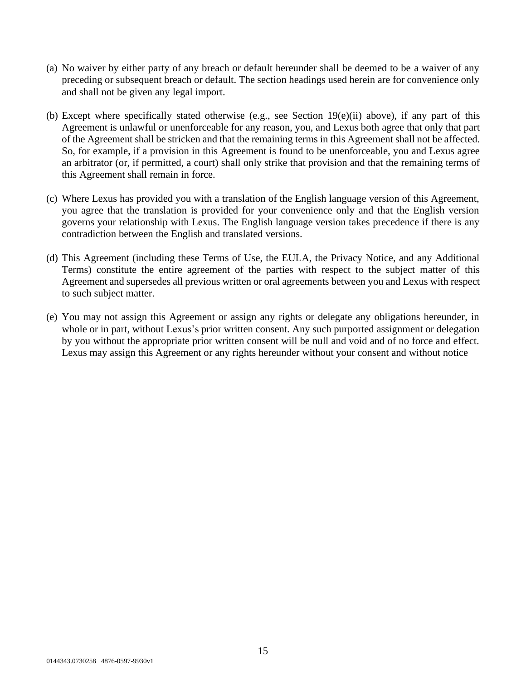- (a) No waiver by either party of any breach or default hereunder shall be deemed to be a waiver of any preceding or subsequent breach or default. The section headings used herein are for convenience only and shall not be given any legal import.
- (b) Except where specifically stated otherwise (e.g., see Section 19(e)(ii) above), if any part of this Agreement is unlawful or unenforceable for any reason, you, and Lexus both agree that only that part of the Agreement shall be stricken and that the remaining terms in this Agreement shall not be affected. So, for example, if a provision in this Agreement is found to be unenforceable, you and Lexus agree an arbitrator (or, if permitted, a court) shall only strike that provision and that the remaining terms of this Agreement shall remain in force.
- (c) Where Lexus has provided you with a translation of the English language version of this Agreement, you agree that the translation is provided for your convenience only and that the English version governs your relationship with Lexus. The English language version takes precedence if there is any contradiction between the English and translated versions.
- (d) This Agreement (including these Terms of Use, the EULA, the Privacy Notice, and any Additional Terms) constitute the entire agreement of the parties with respect to the subject matter of this Agreement and supersedes all previous written or oral agreements between you and Lexus with respect to such subject matter.
- (e) You may not assign this Agreement or assign any rights or delegate any obligations hereunder, in whole or in part, without Lexus's prior written consent. Any such purported assignment or delegation by you without the appropriate prior written consent will be null and void and of no force and effect. Lexus may assign this Agreement or any rights hereunder without your consent and without notice